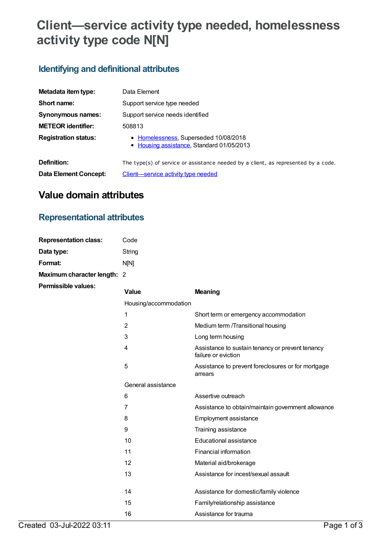# **Client—service activity type needed, homelessness activity type code N[N]**

## **Identifying and definitional attributes**

| Metadata item type:          | Data Element                                                                       |
|------------------------------|------------------------------------------------------------------------------------|
| Short name:                  | Support service type needed                                                        |
| Synonymous names:            | Support service needs identified                                                   |
| <b>METEOR identifier:</b>    | 508813                                                                             |
| <b>Registration status:</b>  | • Homelessness, Superseded 10/08/2018<br>• Housing assistance, Standard 01/05/2013 |
| Definition:                  | The type(s) of service or assistance needed by a client, as represented by a code. |
| <b>Data Element Concept:</b> | Client-service activity type needed                                                |

# **Value domain attributes**

## **Representational attributes**

| <b>Representation class:</b> | Code   |
|------------------------------|--------|
| Data type:                   | String |
| Format:                      | nini   |
| Maximum character length: 2  |        |
| <b>Permissible values:</b>   |        |

| Value                 | <b>Meaning</b>                                                          |
|-----------------------|-------------------------------------------------------------------------|
| Housing/accommodation |                                                                         |
| 1                     | Short term or emergency accommodation                                   |
| $\overline{2}$        | Medium term /Transitional housing                                       |
| 3                     | Long term housing                                                       |
| 4                     | Assistance to sustain tenancy or prevent tenancy<br>failure or eviction |
| 5                     | Assistance to prevent foreclosures or for mortgage<br>arrears           |
| General assistance    |                                                                         |
| 6                     | Assertive outreach                                                      |
| 7                     | Assistance to obtain/maintain government allowance                      |
| 8                     | <b>Employment assistance</b>                                            |
| 9                     | Training assistance                                                     |
| 10                    | Educational assistance                                                  |
| 11                    | Financial information                                                   |
| 12                    | Material aid/brokerage                                                  |
| 13                    | Assistance for incest/sexual assault                                    |
| 14                    | Assistance for domestic/family violence                                 |
| 15                    | Family/relationship assistance                                          |
| 16                    | Assistance for trauma                                                   |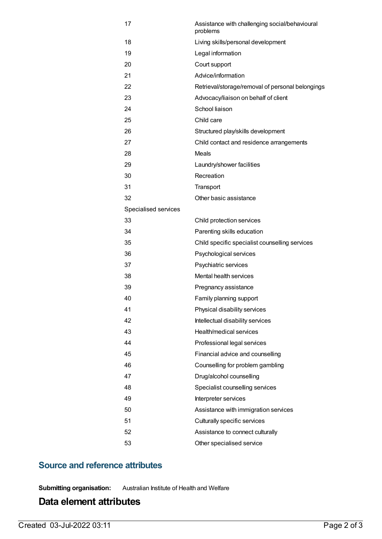| 17                   | Assistance with challenging social/behavioural<br>problems |
|----------------------|------------------------------------------------------------|
| 18                   | Living skills/personal development                         |
| 19                   | Legal information                                          |
| 20                   | Court support                                              |
| 21                   | Advice/information                                         |
| 22                   | Retrieval/storage/removal of personal belongings           |
| 23                   | Advocacy/liaison on behalf of client                       |
| 24                   | School liaison                                             |
| 25                   | Child care                                                 |
| 26                   | Structured play/skills development                         |
| 27                   | Child contact and residence arrangements                   |
| 28                   | Meals                                                      |
| 29                   | Laundry/shower facilities                                  |
| 30                   | Recreation                                                 |
| 31                   | Transport                                                  |
| 32                   | Other basic assistance                                     |
| Specialised services |                                                            |
| 33                   | Child protection services                                  |
| 34                   | Parenting skills education                                 |
| 35                   | Child specific specialist counselling services             |
| 36                   | Psychological services                                     |
| 37                   | Psychiatric services                                       |
| 38                   | Mental health services                                     |
| 39                   | Pregnancy assistance                                       |
| 40                   | Family planning support                                    |
| 41                   | Physical disability services                               |
| 42                   | Intellectual disability services                           |
| 43                   | Health/medical services                                    |
| 44                   | Professional legal services                                |
| 45                   | Financial advice and counselling                           |
| 46                   | Counselling for problem gambling                           |
| 47                   | Drug/alcohol counselling                                   |
| 48                   | Specialist counselling services                            |
| 49                   | Interpreter services                                       |
| 50                   | Assistance with immigration services                       |
| 51                   | Culturally specific services                               |
| 52                   | Assistance to connect culturally                           |
| 53                   | Other specialised service                                  |

#### **Source and reference attributes**

**Submitting organisation:** Australian Institute of Health and Welfare

## **Data element attributes**